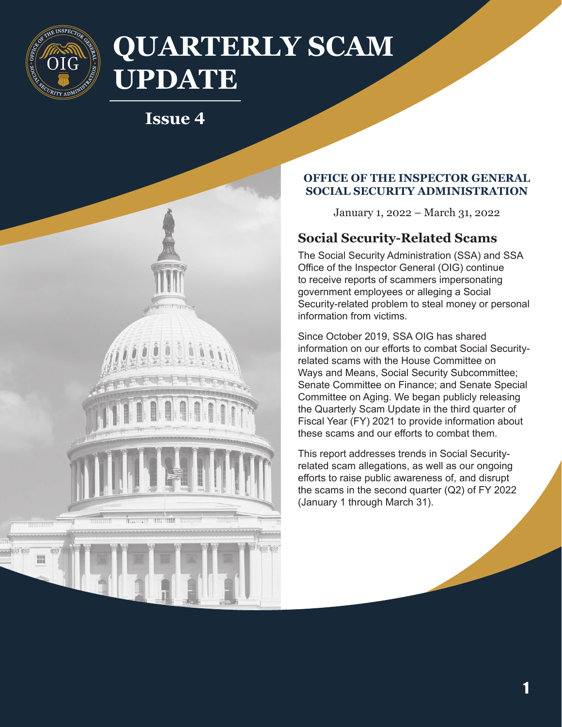

# **QUARTERLY SCAM UPDATE**

## **Issue 4**



#### **OFFICE OF THE INSPECTOR GENERAL SOCIAL SECURITY ADMINISTRATION**

January 1, 2022 – March 31, 2022

### **Social Security-Related Scams**

The Social Security Administration (SSA) and SSA Office of the Inspector General (OIG) continue to receive reports of scammers impersonating government employees or alleging a Social Security-related problem to steal money or personal information from victims.

Since October 2019, SSA OIG has shared information on our efforts to combat Social Securityrelated scams with the House Committee on Ways and Means, Social Security Subcommittee; Senate Committee on Finance; and Senate Special Committee on Aging. We began publicly releasing the Quarterly Scam Update in the third quarter of Fiscal Year (FY) 2021 to provide information about these scams and our efforts to combat them.

This report addresses trends in Social Securityrelated scam allegations, as well as our ongoing efforts to raise public awareness of, and disrupt the scams in the second quarter (Q2) of FY 2022 (January 1 through March 31).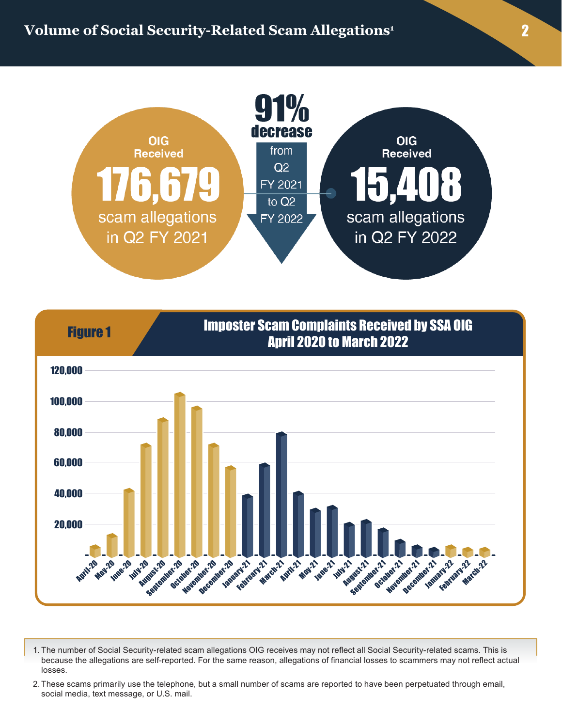



1. The number of Social Security-related scam allegations OIG receives may not reflect all Social Security-related scams. This is because the allegations are self-reported. For the same reason, allegations of financial losses to scammers may not reflect actual losses.

2. These scams primarily use the telephone, but a small number of scams are reported to have been perpetuated through email, social media, text message, or U.S. mail.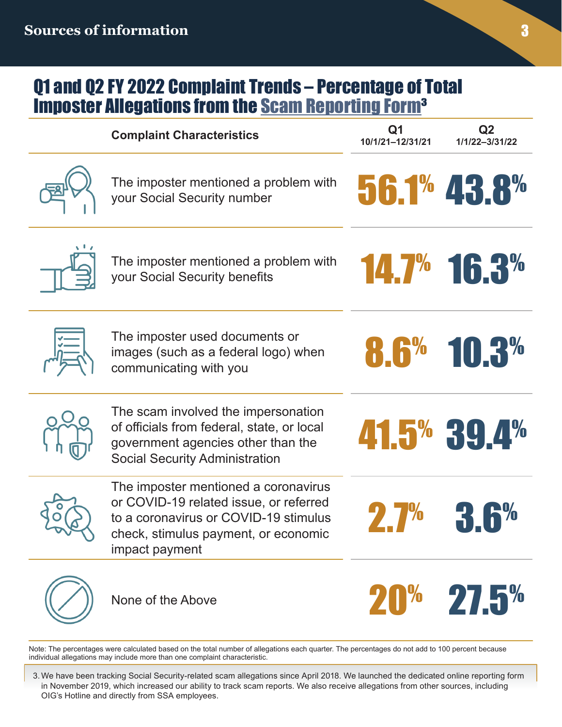## Q1 and Q2 FY 2022 Complaint Trends – Percentage of Total Imposter Allegations from the [Scam Reporting Form](https://secure.ssa.gov/ipff/home)3

| <b>Complaint Characteristics</b>                                                                                                                                                  | Q1<br>10/1/21-12/31/21 | Q <sub>2</sub><br>1/1/22-3/31/22 |
|-----------------------------------------------------------------------------------------------------------------------------------------------------------------------------------|------------------------|----------------------------------|
| The imposter mentioned a problem with<br>your Social Security number                                                                                                              |                        | 56.1% 43.8%                      |
| The imposter mentioned a problem with<br>your Social Security benefits                                                                                                            |                        | 14.7% 16.3%                      |
| The imposter used documents or<br>images (such as a federal logo) when<br>communicating with you                                                                                  | 8.6%                   | 10.3%                            |
| The scam involved the impersonation<br>of officials from federal, state, or local<br>government agencies other than the<br><b>Social Security Administration</b>                  |                        | 41.5% 39.4%                      |
| The imposter mentioned a coronavirus<br>or COVID-19 related issue, or referred<br>to a coronavirus or COVID-19 stimulus<br>check, stimulus payment, or economic<br>impact payment |                        |                                  |
| None of the Above                                                                                                                                                                 |                        | 20% 27.5%                        |

Note: The percentages were calculated based on the total number of allegations each quarter. The percentages do not add to 100 percent because individual allegations may include more than one complaint characteristic.

3. We have been tracking Social Security-related scam allegations since April 2018. We launched the dedicated online reporting form in November 2019, which increased our ability to track scam reports. We also receive allegations from other sources, including OIG's Hotline and directly from SSA employees.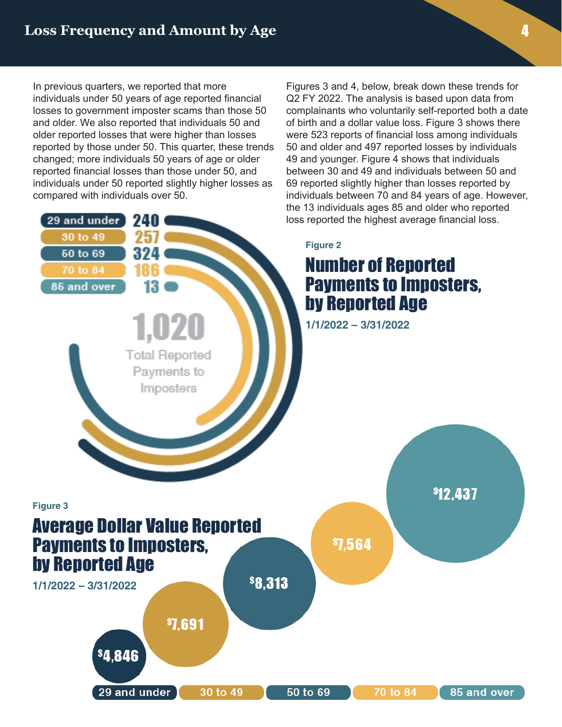In previous quarters, we reported that more individuals under 50 years of age reported financial losses to government imposter scams than those 50 and older. We also reported that individuals 50 and older reported losses that were higher than losses reported by those under 50. This quarter, these trends changed; more individuals 50 years of age or older reported financial losses than those under 50, and individuals under 50 reported slightly higher losses as compared with individuals over 50.

29 and Under: 240

 $T_{\rm c}$  and  $T_{\rm c}$  are Im-

**Total Reported** 

Payments to Imposters

id over J

29 and under 30 to 49 50 to 69

> 70 to 84: 186 85 and over: 13

Figures 3 and 4, below, break down these trends for Q2 FY 2022. The analysis is based upon data from complainants who voluntarily self-reported both a date of birth and a dollar value loss. Figure 3 shows there were 523 reports of financial loss among individuals 50 and older and 497 reported losses by individuals 49 and younger. Figure 4 shows that individuals between 30 and 49 and individuals between 50 and 69 reported slightly higher than losses reported by individuals between 70 and 84 years of age. However, the 13 individuals ages 85 and older who reported loss reported the highest average financial loss.

#### **Figure 2**

## Number of Reported Payments to Imposters, by Reported Age

**\$12.437** 

**1/1/2022 – 3/31/2022**

**\$7.564** 



## Average Dollar Value Reported Payments to Imposters, by Reported Age

**1/1/2022 – 3/31/2022**

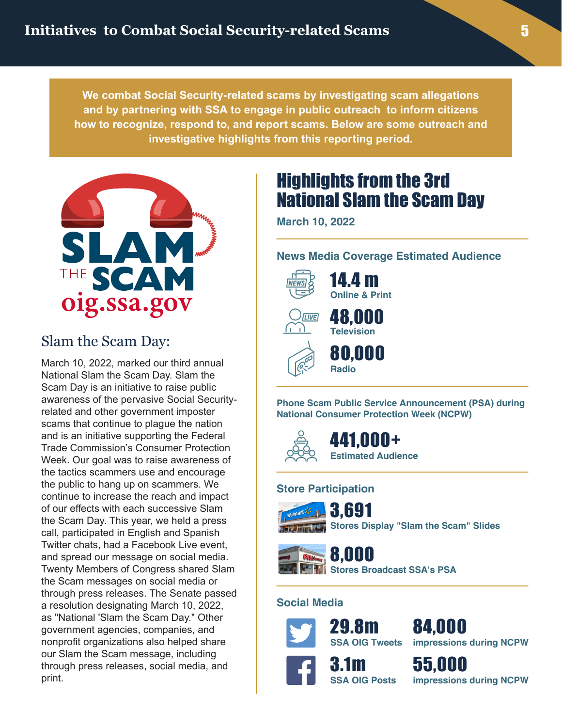**We combat Social Security-related scams by investigating scam allegations and by partnering with SSA to engage in public outreach to inform citizens how to recognize, respond to, and report scams. Below are some outreach and investigative highlights from this reporting period.**



### Slam the Scam Day:

March 10, 2022, marked our third annual National Slam the Scam Day. Slam the Scam Day is an initiative to raise public awareness of the pervasive Social Securityrelated and other government imposter scams that continue to plague the nation and is an initiative supporting the Federal Trade Commission's Consumer Protection Week. Our goal was to raise awareness of the tactics scammers use and encourage the public to hang up on scammers. We continue to increase the reach and impact of our effects with each successive Slam the Scam Day. This year, we held a press call, participated in English and Spanish Twitter chats, had a Facebook Live event, and spread our message on social media. Twenty Members of Congress shared Slam the Scam messages on social media or through press releases. The Senate passed a resolution designating March 10, 2022, as "National 'Slam the Scam Day." Other government agencies, companies, and nonprofit organizations also helped share our Slam the Scam message, including through press releases, social media, and print.

# Highlights from the 3rd National Slam the Scam Day

**March 10, 2022**

#### **News Media Coverage Estimated Audience**



**Online & Print** 48,000 **Television**



**Phone Scam Public Service Announcement (PSA) during National Consumer Protection Week (NCPW)**

441 NNN+ **Estimated Audience**

#### **Store Participation**



### 3,691





# 8,000

**Stores Broadcast SSA's PSA**

#### **Social Media**



84,000 **impressions during NCPW**

55,000 **impressions during NCPW**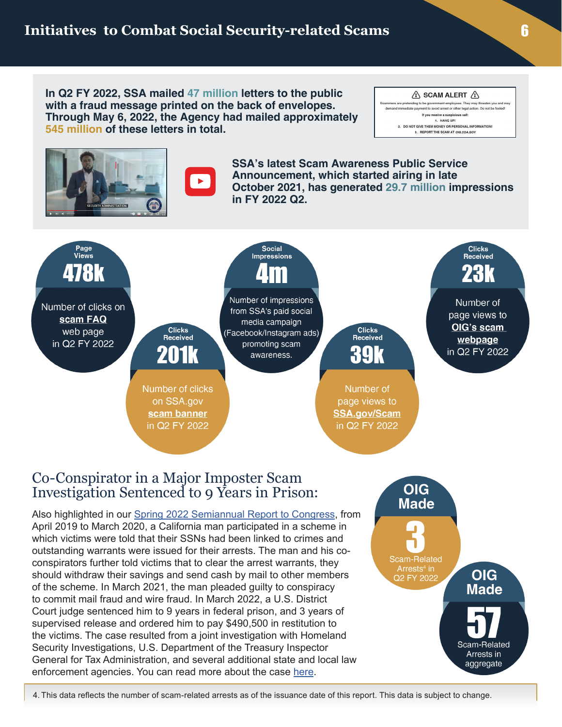**In Q2 FY 2022, SSA mailed 47 million letters to the public with a fraud message printed on the back of envelopes. Through May 6, 2022, the Agency had mailed approximately 545 million of these letters in total.**





 $\blacktriangleright$ 

**SSA's latest Scam Awareness Public Service Announcement, which started airing in late October 2021, has generated 29.7 million impressions in FY 2022 Q2.**



#### Co-Conspirator in a Major Imposter Scam Investigation Sentenced to 9 Years in Prison:

Also highlighted in our [Spring 2022 Semiannual Report to Congress](https://oig.ssa.gov/assets/uploads/office-of-the-inspector-general-oig-semiannual-report-to-congress-final.pdf), from April 2019 to March 2020, a California man participated in a scheme in which victims were told that their SSNs had been linked to crimes and outstanding warrants were issued for their arrests. The man and his coconspirators further told victims that to clear the arrest warrants, they should withdraw their savings and send cash by mail to other members of the scheme. In March 2021, the man pleaded guilty to conspiracy to commit mail fraud and wire fraud. In March 2022, a U.S. District Court judge sentenced him to 9 years in federal prison, and 3 years of supervised release and ordered him to pay \$490,500 in restitution to the victims. The case resulted from a joint investigation with Homeland Security Investigations, U.S. Department of the Treasury Inspector General for Tax Administration, and several additional state and local law enforcement agencies. You can read more about the case [here](https://www.justice.gov/usao-cdca/pr/lake-elsinore-man-sentenced-9-years-federal-prison-bagman-role-scheme-defraud-elderly).